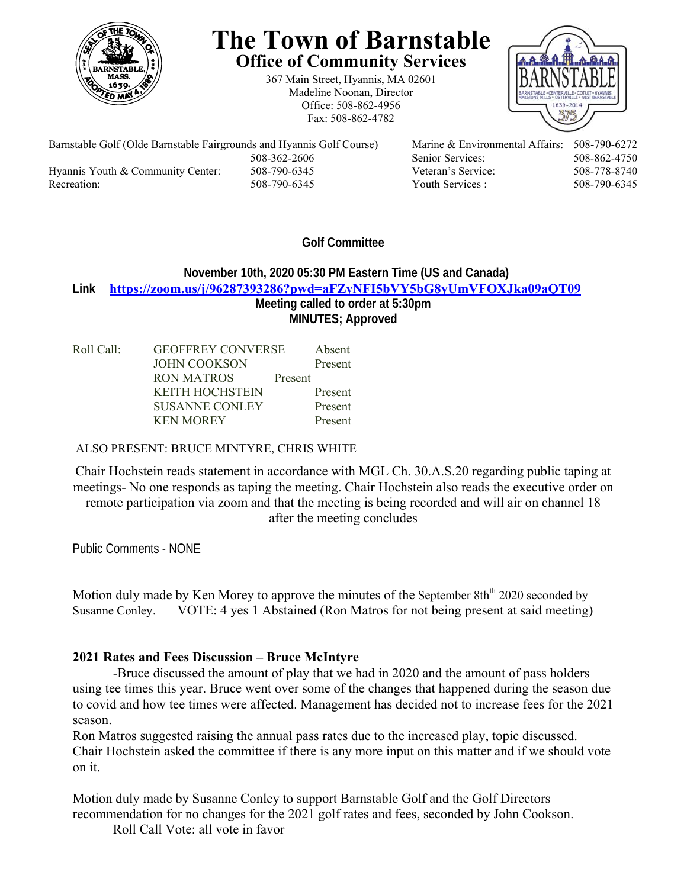

# **The Town of Barnstable Office of Community Services**

367 Main Street, Hyannis, MA 02601 Madeline Noonan, Director Office: 508-862-4956 Fax: 508-862-4782



Barnstable Golf (Olde Barnstable Fairgrounds and Hyannis Golf Course) Marine & Environmental Affairs: 508-790-6272 Hyannis Youth & Community Center: 508-790-6345 Veteran's Service: 508-778-8740 Recreation: 508-790-6345 Youth Services : 508-790-6345 S08-790-6345

508-362-2606 Senior Services: 508-862-4750

# **Golf Committee**

### **November 10th, 2020 05:30 PM Eastern Time (US and Canada) Link https://zoom.us/j/96287393286?pwd=aFZyNFI5bVY5bG8yUmVFOXJka09aQT09 Meeting called to order at 5:30pm MINUTES; Approved**

| Roll Call: | <b>GEOFFREY CONVERSE</b> |         | Absent  |
|------------|--------------------------|---------|---------|
|            | <b>JOHN COOKSON</b>      |         | Present |
|            | <b>RON MATROS</b>        | Present |         |
|            | <b>KEITH HOCHSTEIN</b>   |         | Present |
|            | <b>SUSANNE CONLEY</b>    |         | Present |
|            | <b>KEN MOREY</b>         |         | Present |

#### ALSO PRESENT: BRUCE MINTYRE, CHRIS WHITE

Chair Hochstein reads statement in accordance with MGL Ch. 30.A.S.20 regarding public taping at meetings- No one responds as taping the meeting. Chair Hochstein also reads the executive order on remote participation via zoom and that the meeting is being recorded and will air on channel 18 after the meeting concludes

Public Comments - NONE

Motion duly made by Ken Morey to approve the minutes of the September  $8th<sup>th</sup> 2020$  seconded by Susanne Conley. VOTE: 4 yes 1 Abstained (Ron Matros for not being present at said meeting)

## **2021 Rates and Fees Discussion – Bruce McIntyre**

-Bruce discussed the amount of play that we had in 2020 and the amount of pass holders using tee times this year. Bruce went over some of the changes that happened during the season due to covid and how tee times were affected. Management has decided not to increase fees for the 2021 season.

Ron Matros suggested raising the annual pass rates due to the increased play, topic discussed. Chair Hochstein asked the committee if there is any more input on this matter and if we should vote on it.

Motion duly made by Susanne Conley to support Barnstable Golf and the Golf Directors recommendation for no changes for the 2021 golf rates and fees, seconded by John Cookson.

Roll Call Vote: all vote in favor